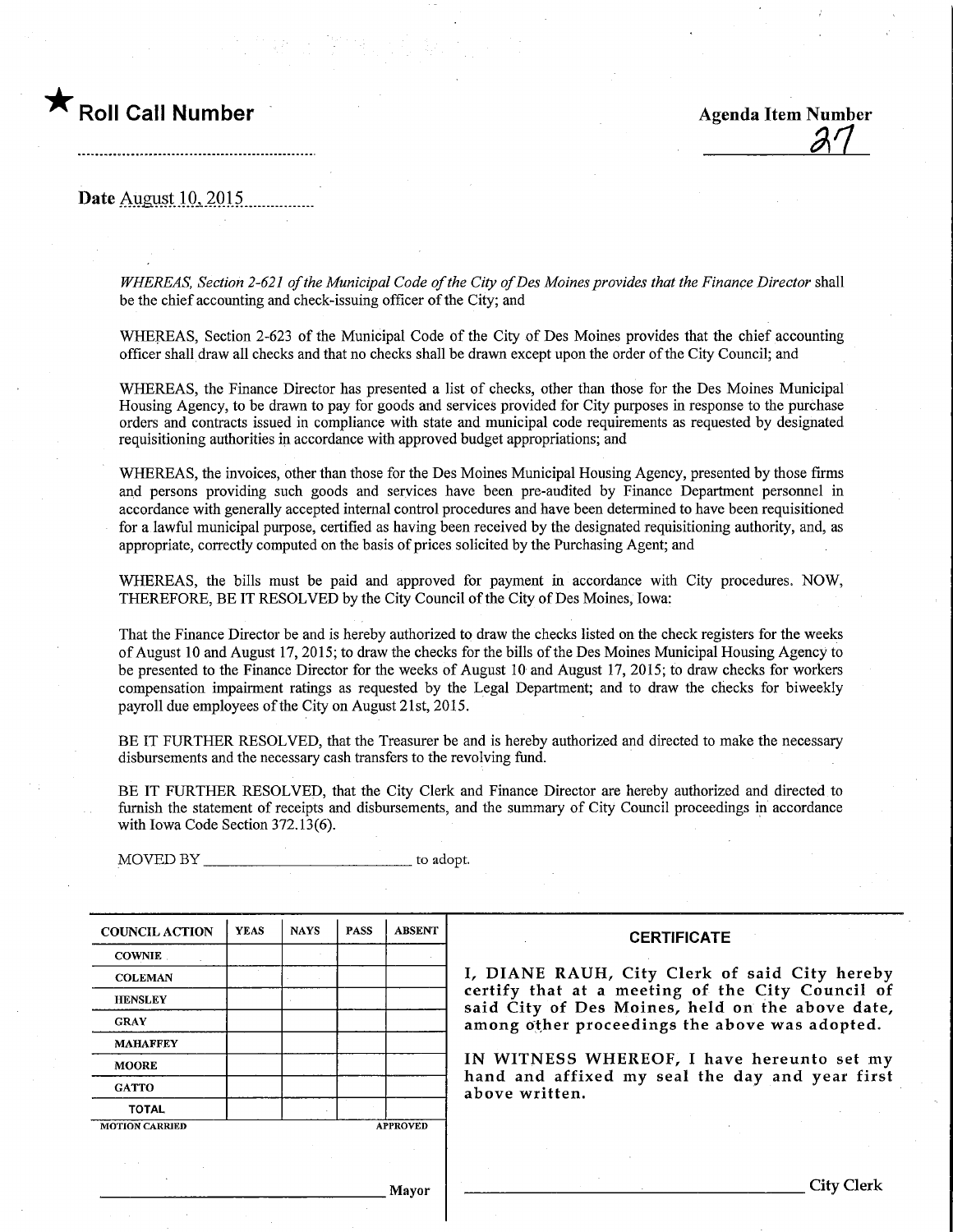

<u>27</u>

Date August 10, 2015.

WHEREAS, Section 2-621 of the Municipal Code of the City of Des Moines provides that the Finance Director shall be the chief accounting and check-issuing officer of the City; and

WHEREAS, Section 2-623 of the Municipal Code of the City of Des Moines provides that the chief accounting officer shall draw all checks and that no checks shall be drawn except upon the order of the City Council; and

WHEREAS, the Finance Director has presented a list of checks, other than those for the Des Moines Municipal Housing Agency, to be drawn to pay for goods and services provided for City purposes in response to the purchase orders and contracts issued in compliance with state and municipal code requirements as requested by designated requisitioning authorities in accordance with approved budget appropriations; and

WHEREAS, the invoices, other than those for the Des Moines Municipal Housing Agency, presented by those firms and persons providing such goods and services have been pre-audited by Finance Department personnel in accordance with generally accepted internal control procedures and have been determined to have been requisitioned for a lawful municipal purpose, certified as having been received by the designated requisitioning authority, and,as appropriate, correctly computed on the basis of prices solicited by the Purchasing Agent; and

WHEREAS, the bills must be paid and approved for payment in accordance with City procedures. NOW, THEREFORE, BE IT RESOLVED by the City Council of the City of Des Moines, Iowa:

That the Finance Director be and is hereby authorized to draw the checks listed on the check registers for the weeks of August 10 and August 17, 2015; to draw the checks for the bills of the Des Momes Municipal Housing Agency to be presented to the Finance Director for the weeks of August 10 and August 17, 2015; to draw checks for workers compensation impairment ratings as requested by the Legal Department; and to draw the checks for biweekly payroll due employees of the City on August 21st, 2015.

BE IT FURTHER RESOLVED, that the Treasurer be and is hereby authorized and directed to make the necessary disbursements and the necessary cash transfers to the revolving fund.

BE IT FURTHER RESOLVED, that the City Clerk and Finance Director are hereby authorized and directed to furnish the statement of receipts and disbursements, and the summary of City Council proceedings in accordance with Iowa Code Section 372.13(6).

MOVED BY to adopt.

| <b>COUNCIL ACTION</b> | <b>YEAS</b> | <b>NAYS</b>     | <b>PASS</b> | <b>ABSENT</b> |
|-----------------------|-------------|-----------------|-------------|---------------|
| <b>COWNIE</b>         |             |                 |             |               |
| <b>COLEMAN</b>        |             |                 |             |               |
| <b>HENSLEY</b>        |             |                 |             |               |
| <b>GRAY</b>           |             |                 |             |               |
| <b>MAHAFFEY</b>       |             |                 |             |               |
| <b>MOORE</b>          |             |                 |             |               |
| <b>GATTO</b>          |             |                 |             |               |
| <b>TOTAL</b>          |             |                 |             |               |
| <b>MOTION CARRIED</b> |             | <b>APPROVED</b> |             |               |

#### **CERTIFICATE**

I, DIANE RAUH, City Clerk of said City hereby certify that at a meeting of the City Council of said City of Des Moines, held on the above date, among other proceedings the above was adopted.

IN WITNESS WHEREOF, I have hereunto set my hand and affixed my seal the day and year first above written.

Mayor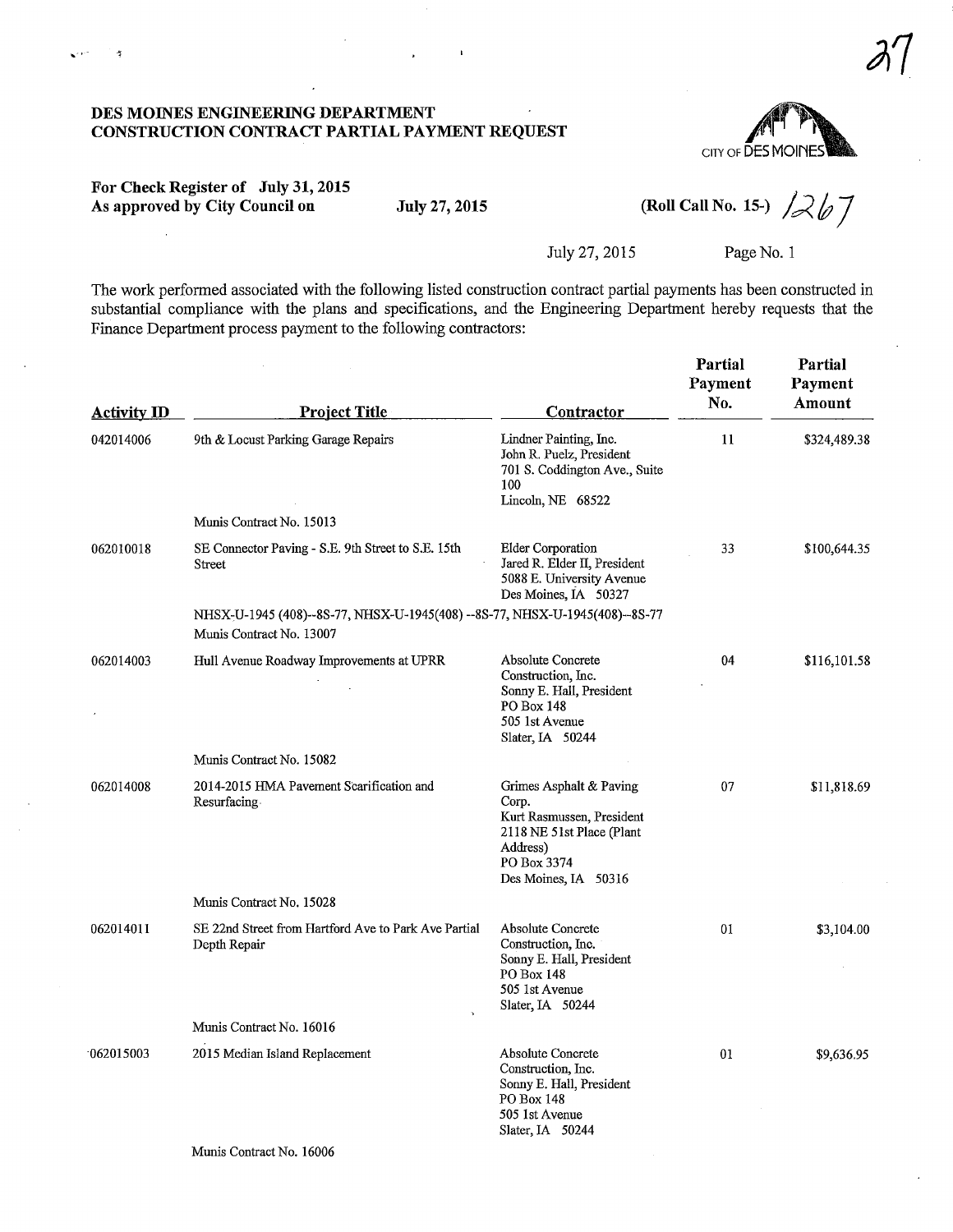#### DES MOmES ENGINEERING DEPARTMENT CONSTRUCTION CONTRACT PARTIAL PAYMENT REQUEST



# For Check Register of July 31,2015 As approved by City Council on July 27, 2015 (Roll Call No. 15-)  $26\frac{1}{2}$

 $\sqrt{m}$ 

 $\tilde{\mathcal{L}}$ 

July 27, 2015 Page No. 1

The work performed associated with the following listed construction contract partial payments has been constructed in substantial compliance with the plans and specifications, and the Engineering Department hereby requests that the Finance Department process payment to the following contractors:

| <b>Activity ID</b> | <b>Project Title</b>                                                                                    | Contractor                                                                                                                                    | Partial<br>Payment<br>No. | Partial<br>Payment<br>Amount |
|--------------------|---------------------------------------------------------------------------------------------------------|-----------------------------------------------------------------------------------------------------------------------------------------------|---------------------------|------------------------------|
| 042014006          | 9th & Locust Parking Garage Repairs                                                                     | Lindner Painting, Inc.<br>John R. Puelz, President<br>701 S. Coddington Ave., Suite<br>100<br>Lincoln, NE 68522                               | 11                        | \$324,489.38                 |
|                    | Munis Contract No. 15013                                                                                |                                                                                                                                               |                           |                              |
| 062010018          | SE Connector Paving - S.E. 9th Street to S.E. 15th<br>Street                                            | <b>Elder Corporation</b><br>Jared R. Elder II, President<br>5088 E. University Avenue<br>Des Moines, IA 50327                                 | 33                        | \$100,644.35                 |
|                    | NHSX-U-1945 (408)--8S-77, NHSX-U-1945(408) --8S-77, NHSX-U-1945(408)--8S-77<br>Munis Contract No. 13007 |                                                                                                                                               |                           |                              |
| 062014003          | Hull Avenue Roadway Improvements at UPRR                                                                | Absolute Concrete<br>Construction, Inc.<br>Sonny E. Hall, President<br>PO Box 148<br>505 1st Avenue<br>Slater, IA 50244                       | 04                        | \$116,101.58                 |
|                    | Munis Contract No. 15082                                                                                |                                                                                                                                               |                           |                              |
| 062014008          | 2014-2015 HMA Pavement Scarification and<br>Resurfacing                                                 | Grimes Asphalt & Paving<br>Corp.<br>Kurt Rasmussen, President<br>2118 NE 51st Place (Plant<br>Address)<br>PO Box 3374<br>Des Moines, IA 50316 | 07                        | \$11,818.69                  |
|                    | Munis Contract No. 15028                                                                                |                                                                                                                                               |                           |                              |
| 062014011          | SE 22nd Street from Hartford Ave to Park Ave Partial<br>Depth Repair                                    | Absolute Concrete<br>Construction, Inc.<br>Sonny E. Hall, President<br>PO Box 148<br>505 1st Avenue<br>Slater, IA 50244                       | 01                        | \$3,104.00                   |
|                    | Munis Contract No. 16016                                                                                |                                                                                                                                               |                           |                              |
| 062015003          | 2015 Median Island Replacement                                                                          | Absolute Concrete<br>Construction, Inc.<br>Sonny E. Hall, President<br>PO Box 148<br>505 1st Avenue<br>Slater, IA 50244                       | 01                        | \$9,636.95                   |
|                    | Munis Contract No. 16006                                                                                |                                                                                                                                               |                           |                              |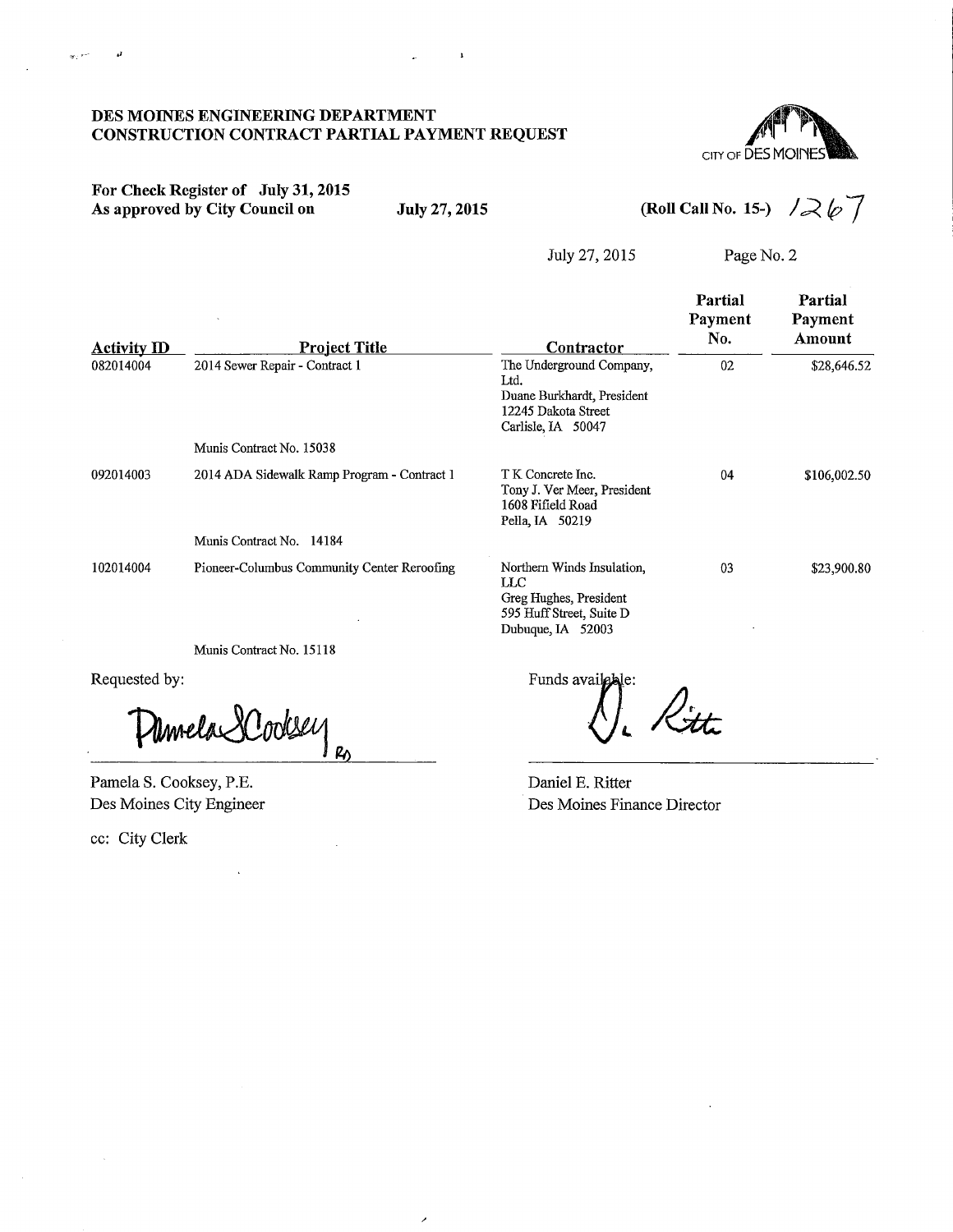#### DES MOINES ENGINEERING DEPARTMENT CONSTRUCTION CONTRACT PARTIAL PAYMENT REQUEST



# For Check Register of July 31,2015 As approved by City Council on July 27, 2015

 $\mathbf{w}_i$  and

÷.

 $\overline{\mathbf{1}}$ 

(Roll Call No. 15-)  $\sqrt{26}$ 

July 27, 2015 Page No. 2

|                                 |                                                        |                                                                                                                           | Partial<br>Payment<br>No. | Partial<br>Payment<br>Amount |
|---------------------------------|--------------------------------------------------------|---------------------------------------------------------------------------------------------------------------------------|---------------------------|------------------------------|
| <b>Activity ID</b><br>082014004 | <b>Project Title</b><br>2014 Sewer Repair - Contract 1 | Contractor<br>The Underground Company,<br>Ltd.<br>Duane Burkhardt, President<br>12245 Dakota Street<br>Carlisle, IA 50047 | 02                        | \$28,646.52                  |
|                                 | Munis Contract No. 15038                               |                                                                                                                           |                           |                              |
| 092014003                       | 2014 ADA Sidewalk Ramp Program - Contract 1            | T K Concrete Inc.<br>Tony J. Ver Meer, President<br>1608 Fifield Road<br>Pella, IA 50219                                  | 04                        | \$106,002.50                 |
|                                 | Munis Contract No. 14184                               |                                                                                                                           |                           |                              |
| 102014004                       | Pioneer-Columbus Community Center Reroofing            | Northern Winds Insulation,<br>$_{\rm LLC}$<br>Greg Hughes, President<br>595 Huff Street, Suite D<br>Dubuque, IA 52003     | 0 <sub>3</sub>            | \$23,900.80                  |
|                                 | Munis Contract No. 15118                               |                                                                                                                           |                           |                              |

 $\lambda$ 

Requested by:

Umela SCooksey  $R_{\odot}$ 

Pamela S. Cooksey, P.E. Des Moines City Engineer

ec: City Clerk

Funds available: ).<br>tti

Daniel E. Ritter Des Moines Finance Director